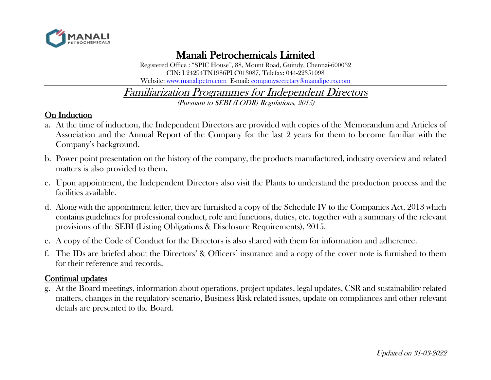

 Manali Petrochemicals Limited Registered Office : "SPIC House", 88, Mount Road, Guindy, Chennai-600032 CIN: L24294TN1986PLC013087, Telefax: 044-22351098 Website: [www.manalipetro.com](http://www.manalipetro.com/) E-mail: [companysecretary@manalipetro.com](mailto:companysecretary@manalipetro.com)

# Familiarization Programmes for Independent Directors

(Pursuant to SEBI (LODR) Regulations, 2015)

### On Induction

- a. At the time of induction, the Independent Directors are provided with copies of the Memorandum and Articles of Association and the Annual Report of the Company for the last 2 years for them to become familiar with the Company's background.
- b. Power point presentation on the history of the company, the products manufactured, industry overview and related matters is also provided to them.
- c. Upon appointment, the Independent Directors also visit the Plants to understand the production process and the facilities available.
- d. Along with the appointment letter, they are furnished a copy of the Schedule IV to the Companies Act, 2013 which contains guidelines for professional conduct, role and functions, duties, etc. together with a summary of the relevant provisions of the SEBI (Listing Obligations & Disclosure Requirements), 2015.
- e. A copy of the Code of Conduct for the Directors is also shared with them for information and adherence.
- f. The IDs are briefed about the Directors' & Officers' insurance and a copy of the cover note is furnished to them for their reference and records.

## Continual updates

g. At the Board meetings, information about operations, project updates, legal updates, CSR and sustainability related matters, changes in the regulatory scenario, Business Risk related issues, update on compliances and other relevant details are presented to the Board.